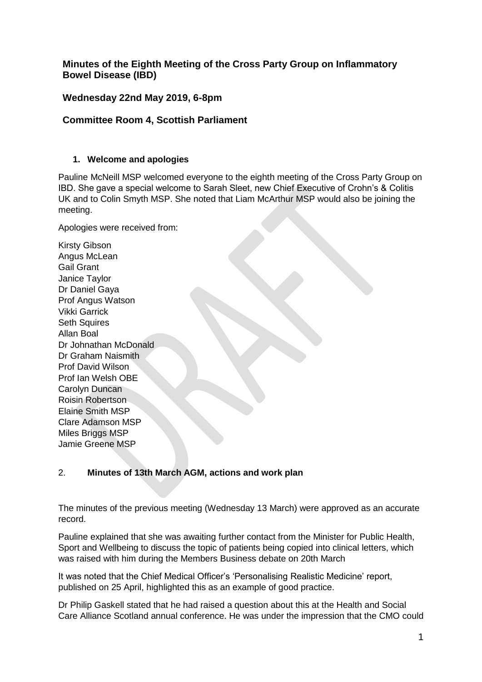# **Minutes of the Eighth Meeting of the Cross Party Group on Inflammatory Bowel Disease (IBD)**

# **Wednesday 22nd May 2019, 6-8pm**

# **Committee Room 4, Scottish Parliament**

### **1. Welcome and apologies**

Pauline McNeill MSP welcomed everyone to the eighth meeting of the Cross Party Group on IBD. She gave a special welcome to Sarah Sleet, new Chief Executive of Crohn's & Colitis UK and to Colin Smyth MSP. She noted that Liam McArthur MSP would also be joining the meeting.

Apologies were received from:

Kirsty Gibson Angus McLean Gail Grant Janice Taylor Dr Daniel Gaya Prof Angus Watson Vikki Garrick Seth Squires Allan Boal Dr Johnathan McDonald Dr Graham Naismith Prof David Wilson Prof Ian Welsh OBE Carolyn Duncan Roisin Robertson Elaine Smith MSP Clare Adamson MSP Miles Briggs MSP Jamie Greene MSP

## 2. **Minutes of 13th March AGM, actions and work plan**

The minutes of the previous meeting (Wednesday 13 March) were approved as an accurate record.

Pauline explained that she was awaiting further contact from the Minister for Public Health, Sport and Wellbeing to discuss the topic of patients being copied into clinical letters, which was raised with him during the Members Business debate on 20th March

It was noted that the Chief Medical Officer's 'Personalising Realistic Medicine' report, published on 25 April, highlighted this as an example of good practice.

Dr Philip Gaskell stated that he had raised a question about this at the Health and Social Care Alliance Scotland annual conference. He was under the impression that the CMO could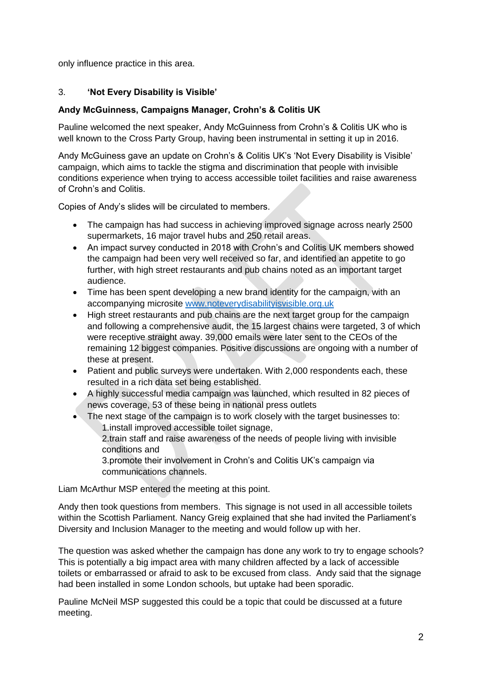only influence practice in this area.

## 3. **'Not Every Disability is Visible'**

### **Andy McGuinness, Campaigns Manager, Crohn's & Colitis UK**

Pauline welcomed the next speaker, Andy McGuinness from Crohn's & Colitis UK who is well known to the Cross Party Group, having been instrumental in setting it up in 2016.

Andy McGuiness gave an update on Crohn's & Colitis UK's 'Not Every Disability is Visible' campaign, which aims to tackle the stigma and discrimination that people with invisible conditions experience when trying to access accessible toilet facilities and raise awareness of Crohn's and Colitis.

Copies of Andy's slides will be circulated to members.

- The campaign has had success in achieving improved signage across nearly 2500 supermarkets, 16 major travel hubs and 250 retail areas.
- An impact survey conducted in 2018 with Crohn's and Colitis UK members showed the campaign had been very well received so far, and identified an appetite to go further, with high street restaurants and pub chains noted as an important target audience.
- Time has been spent developing a new brand identity for the campaign, with an accompanying microsite [www.noteverydisabilityisvisible.org.uk](http://www.noteverydisabilityisvisible.org.uk/)
- High street restaurants and pub chains are the next target group for the campaign and following a comprehensive audit, the 15 largest chains were targeted, 3 of which were receptive straight away. 39,000 emails were later sent to the CEOs of the remaining 12 biggest companies. Positive discussions are ongoing with a number of these at present.
- Patient and public surveys were undertaken. With 2,000 respondents each, these resulted in a rich data set being established.
- A highly successful media campaign was launched, which resulted in 82 pieces of news coverage, 53 of these being in national press outlets
- The next stage of the campaign is to work closely with the target businesses to: 1.install improved accessible toilet signage,

2.train staff and raise awareness of the needs of people living with invisible conditions and

3.promote their involvement in Crohn's and Colitis UK's campaign via communications channels.

Liam McArthur MSP entered the meeting at this point.

Andy then took questions from members. This signage is not used in all accessible toilets within the Scottish Parliament. Nancy Greig explained that she had invited the Parliament's Diversity and Inclusion Manager to the meeting and would follow up with her.

The question was asked whether the campaign has done any work to try to engage schools? This is potentially a big impact area with many children affected by a lack of accessible toilets or embarrassed or afraid to ask to be excused from class. Andy said that the signage had been installed in some London schools, but uptake had been sporadic.

Pauline McNeil MSP suggested this could be a topic that could be discussed at a future meeting.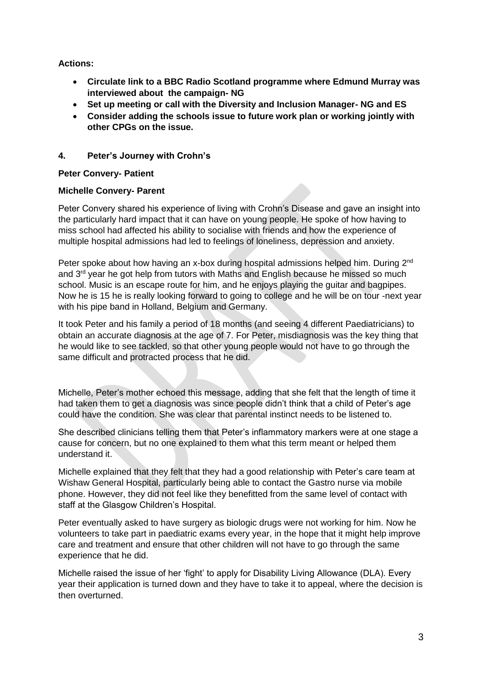**Actions:** 

- **Circulate link to a BBC Radio Scotland programme where Edmund Murray was interviewed about the campaign- NG**
- **Set up meeting or call with the Diversity and Inclusion Manager- NG and ES**
- **Consider adding the schools issue to future work plan or working jointly with other CPGs on the issue.**

## **4. Peter's Journey with Crohn's**

### **Peter Convery- Patient**

### **Michelle Convery- Parent**

Peter Convery shared his experience of living with Crohn's Disease and gave an insight into the particularly hard impact that it can have on young people. He spoke of how having to miss school had affected his ability to socialise with friends and how the experience of multiple hospital admissions had led to feelings of loneliness, depression and anxiety.

Peter spoke about how having an x-box during hospital admissions helped him. During 2<sup>nd</sup> and 3<sup>rd</sup> year he got help from tutors with Maths and English because he missed so much school. Music is an escape route for him, and he enjoys playing the guitar and bagpipes. Now he is 15 he is really looking forward to going to college and he will be on tour -next year with his pipe band in Holland, Belgium and Germany.

It took Peter and his family a period of 18 months (and seeing 4 different Paediatricians) to obtain an accurate diagnosis at the age of 7. For Peter, misdiagnosis was the key thing that he would like to see tackled, so that other young people would not have to go through the same difficult and protracted process that he did.

Michelle, Peter's mother echoed this message, adding that she felt that the length of time it had taken them to get a diagnosis was since people didn't think that a child of Peter's age could have the condition. She was clear that parental instinct needs to be listened to.

She described clinicians telling them that Peter's inflammatory markers were at one stage a cause for concern, but no one explained to them what this term meant or helped them understand it.

Michelle explained that they felt that they had a good relationship with Peter's care team at Wishaw General Hospital, particularly being able to contact the Gastro nurse via mobile phone. However, they did not feel like they benefitted from the same level of contact with staff at the Glasgow Children's Hospital.

Peter eventually asked to have surgery as biologic drugs were not working for him. Now he volunteers to take part in paediatric exams every year, in the hope that it might help improve care and treatment and ensure that other children will not have to go through the same experience that he did.

Michelle raised the issue of her 'fight' to apply for Disability Living Allowance (DLA). Every year their application is turned down and they have to take it to appeal, where the decision is then overturned.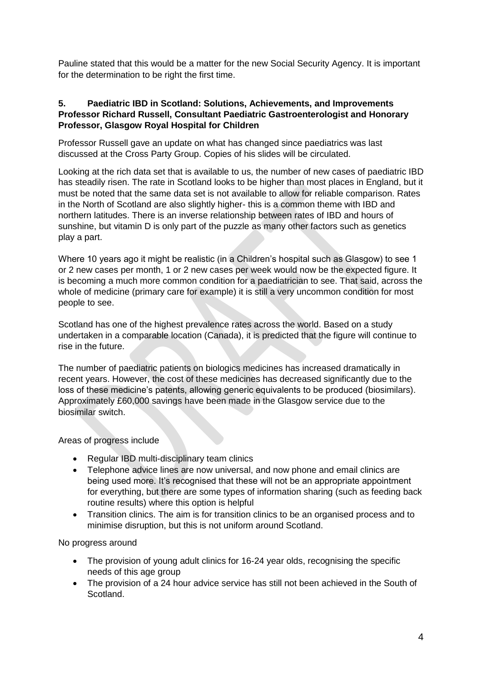Pauline stated that this would be a matter for the new Social Security Agency. It is important for the determination to be right the first time.

#### **5. Paediatric IBD in Scotland: Solutions, Achievements, and Improvements Professor Richard Russell, Consultant Paediatric Gastroenterologist and Honorary Professor, Glasgow Royal Hospital for Children**

Professor Russell gave an update on what has changed since paediatrics was last discussed at the Cross Party Group. Copies of his slides will be circulated.

Looking at the rich data set that is available to us, the number of new cases of paediatric IBD has steadily risen. The rate in Scotland looks to be higher than most places in England, but it must be noted that the same data set is not available to allow for reliable comparison. Rates in the North of Scotland are also slightly higher- this is a common theme with IBD and northern latitudes. There is an inverse relationship between rates of IBD and hours of sunshine, but vitamin D is only part of the puzzle as many other factors such as genetics play a part.

Where 10 years ago it might be realistic (in a Children's hospital such as Glasgow) to see 1 or 2 new cases per month, 1 or 2 new cases per week would now be the expected figure. It is becoming a much more common condition for a paediatrician to see. That said, across the whole of medicine (primary care for example) it is still a very uncommon condition for most people to see.

Scotland has one of the highest prevalence rates across the world. Based on a study undertaken in a comparable location (Canada), it is predicted that the figure will continue to rise in the future.

The number of paediatric patients on biologics medicines has increased dramatically in recent years. However, the cost of these medicines has decreased significantly due to the loss of these medicine's patents, allowing generic equivalents to be produced (biosimilars). Approximately £60,000 savings have been made in the Glasgow service due to the biosimilar switch.

Areas of progress include

- Regular IBD multi-disciplinary team clinics
- Telephone advice lines are now universal, and now phone and email clinics are being used more. It's recognised that these will not be an appropriate appointment for everything, but there are some types of information sharing (such as feeding back routine results) where this option is helpful
- Transition clinics. The aim is for transition clinics to be an organised process and to minimise disruption, but this is not uniform around Scotland.

No progress around

- The provision of young adult clinics for 16-24 year olds, recognising the specific needs of this age group
- The provision of a 24 hour advice service has still not been achieved in the South of **Scotland**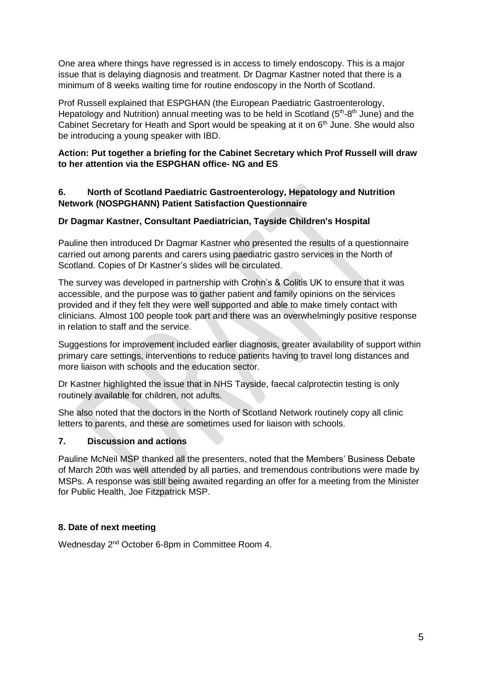One area where things have regressed is in access to timely endoscopy. This is a major issue that is delaying diagnosis and treatment. Dr Dagmar Kastner noted that there is a minimum of 8 weeks waiting time for routine endoscopy in the North of Scotland.

Prof Russell explained that ESPGHAN (the European Paediatric Gastroenterology, Hepatology and Nutrition) annual meeting was to be held in Scotland  $(5<sup>th</sup>-8<sup>th</sup>$  June) and the Cabinet Secretary for Heath and Sport would be speaking at it on  $6<sup>th</sup>$  June. She would also be introducing a young speaker with IBD.

## **Action: Put together a briefing for the Cabinet Secretary which Prof Russell will draw to her attention via the ESPGHAN office- NG and ES**

### **6. North of Scotland Paediatric Gastroenterology, Hepatology and Nutrition Network (NOSPGHANN) Patient Satisfaction Questionnaire**

## **Dr Dagmar Kastner, Consultant Paediatrician, Tayside Children's Hospital**

Pauline then introduced Dr Dagmar Kastner who presented the results of a questionnaire carried out among parents and carers using paediatric gastro services in the North of Scotland. Copies of Dr Kastner's slides will be circulated.

The survey was developed in partnership with Crohn's & Colitis UK to ensure that it was accessible, and the purpose was to gather patient and family opinions on the services provided and if they felt they were well supported and able to make timely contact with clinicians. Almost 100 people took part and there was an overwhelmingly positive response in relation to staff and the service.

Suggestions for improvement included earlier diagnosis, greater availability of support within primary care settings, interventions to reduce patients having to travel long distances and more liaison with schools and the education sector.

Dr Kastner highlighted the issue that in NHS Tayside, faecal calprotectin testing is only routinely available for children, not adults.

She also noted that the doctors in the North of Scotland Network routinely copy all clinic letters to parents, and these are sometimes used for liaison with schools.

## **7. Discussion and actions**

Pauline McNeil MSP thanked all the presenters, noted that the Members' Business Debate of March 20th was well attended by all parties, and tremendous contributions were made by MSPs. A response was still being awaited regarding an offer for a meeting from the Minister for Public Health, Joe Fitzpatrick MSP.

## **8. Date of next meeting**

Wednesday 2nd October 6-8pm in Committee Room 4.